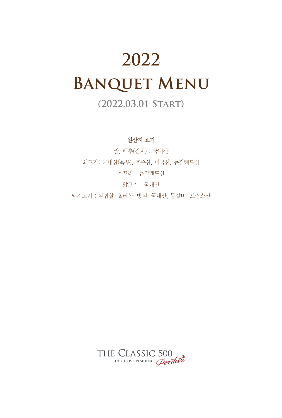# **2022 Banquet Menu**

## **(2022.03.01 Start)**

원산지 표기

쌀, 배추(김치) : 국내산 쇠고기: 국내산(육우), 호주산, 미국산, 뉴질랜드산 소꼬리 : 뉴질랜드산 닭고기 : 국내산 돼지고기 : 삼겹살-칠레산, 방심-국내산, 등갈비-프랑스산

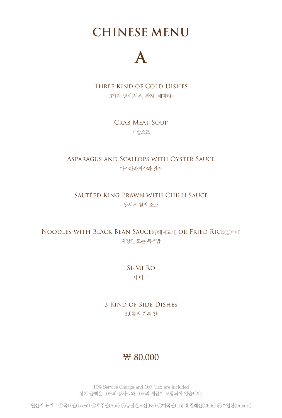## **CHINESE MENU**

# **A**

Three Kind of Cold Dishes

3가지 냉채(새우, 관자, 해파리)

Crab Meat Soup 게살스프

Asparagus and Scallops with Oyster Sauce 아스파라거스와 관자

Sautéed King Prawn with Chilli Sauce 왕새우 칠리 소스

Noodles with Black Bean Sauce(②돼지고기) or Fried Rice(①백미) 자장면 또는 볶음밥

> Si-Mi Ro 시 미 로

3 Kind of Side Dishes 3종류의 기본 찬

### ₩ 80,000

10% Service Charge and 10% Tax are included 상기 금액은 10%의 봉사료와 10%의 세금이 포함되어 있습니다.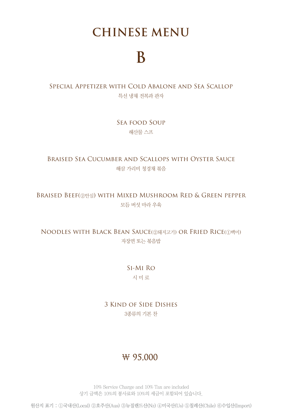## **CHINESE MENU**

# **B**

### Special Appetizer with Cold Abalone and Sea Scallop 특선 냉채 전복과 관자

Sea food Soup 해산물 스프

#### Braised Sea Cucumber and Scallops with Oyster Sauce 해삼 가리비 청경채 볶음

#### Braised Beef(②안심) with Mixed Mushroom Red & Green pepper 모듬 버섯 마라 우육

### Noodles with Black Bean Sauce(②돼지고기) or Fried Rice(①백미) 자장면 또는 볶음밥

### Si-Mi Ro 시 미 로

### 3 Kind of Side Dishes 3종류의 기본 찬

### ₩ 95,000

10% Service Charge and 10% Tax are included 상기 금액은 10%의 봉사료와 10%의 세금이 포함되어 있습니다.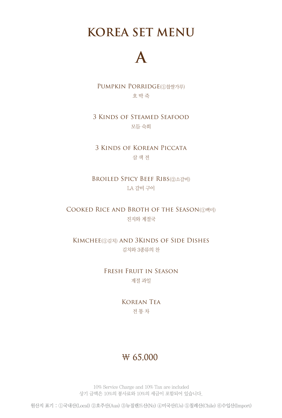**KOREA SET MENU**

# **A**

Pumpkin Porridge(①찹쌀가루) 호 박 죽

#### 3 Kinds of Steamed Seafood 모듬 숙회

3 Kinds of Korean Piccata 삼 색 전

Broiled Spicy Beef Ribs(②소갈비) LA 갈비 구이

Cooked Rice and Broth of the Season(①백미) 진지와 계절국

Kimchee(①김치) and 3Kinds of Side Dishes 김치와 3종류의 찬

> Fresh Fruit in Season 계절 과일

> > Korean Tea 전 통 차

### ₩ 65,000

10% Service Charge and 10% Tax are included 상기 금액은 10%의 봉사료와 10%의 세금이 포함되어 있습니다.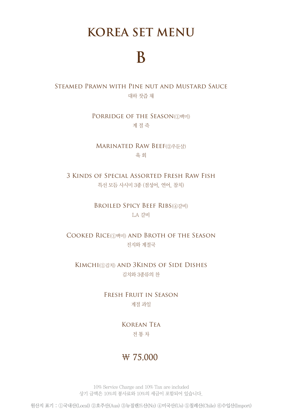## **KOREA SET MENU**

# **B**

#### Steamed Prawn with Pine nut and Mustard Sauce 대하 잣즙 채

PORRIDGE OF THE SEASON(①백미) 계 절 죽

Marinated Raw Beef(②우둔살) 육 회

3 Kinds of Special Assorted Fresh Raw Fish 특선 모듬 사시미 3종 (점성어, 연어, 참치)

> Broiled Spicy Beef Ribs(④갈비) LA 갈비

COOKED RICE(①백미) AND BROTH OF THE SEASON 진지와 계절국

Kimchi(①김치) and 3Kinds of Side Dishes 김치와 3종류의 찬

> Fresh Fruit in Season 계절 과일

> > Korean Tea 전 통 차

### ₩ 75,000

10% Service Charge and 10% Tax are included 상기 금액은 10%의 봉사료와 10%의 세금이 포함되어 있습니다.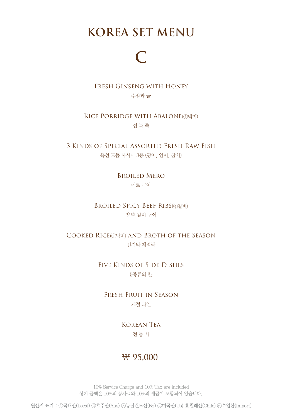## **KOREA SET MENU**

# **C**

Fresh Ginseng with Honey 수삼과 꿀

RICE PORRIDGE WITH ABALONE(1백미) 전 복 죽

3 Kinds of Special Assorted Fresh Raw Fish 특선 모듬 사시미 3종 (광어, 연어, 참치)

> Broiled Mero 메로 구이

Broiled Spicy Beef Ribs(④갈비) 양념 갈비 구이

COOKED RICE(①백미) AND BROTH OF THE SEASON 진지와 계절국

> Five Kinds of Side Dishes 5종류의 찬

Fresh Fruit in Season 계절 과일

> Korean Tea 전 통 차

### ₩ 95,000

10% Service Charge and 10% Tax are included 상기 금액은 10%의 봉사료와 10%의 세금이 포함되어 있습니다.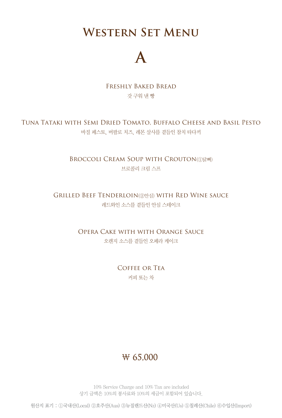**Western Set Menu**

# **A**

Freshly Baked Bread 갓 구워 낸 빵

Tuna Tataki with Semi Dried Tomato, Buffalo Cheese and Basil Pesto 바질 페스토, 버팔로 치즈, 레몬 살사를 곁들인 참치 타다끼

> **BROCCOLI CREAM SOUP WITH CROUTON(①닭뼈)** 브로콜리 크림 스프

Grilled Beef Tenderloin(②안심) with Red Wine sauce 레드와인 소스를 곁들인 안심 스테이크

> Opera Cake with with Orange Sauce 오렌지 소스를 곁들인 오페라 케이크

> > Coffee or Tea 커피 또는 차

### ₩ 65,000

10% Service Charge and 10% Tax are included 상기 금액은 10%의 봉사료와 10%의 세금이 포함되어 있습니다.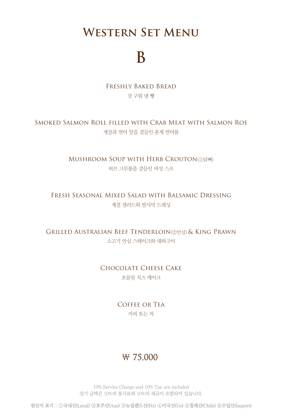## **Western Set Menu**

# **B**

Freshly Baked Bread 갓 구워 낸 빵

#### Smoked Salmon Roll filled with Crab Meat with Salmon Roe 게살과 연어 알을 곁들인 훈제 연어롤

MUSHROOM SOUP WITH HERB CROUTON(①닭뼈) 허브 크루통을 곁들인 버섯 스프

Fresh Seasonal Mixed Salad with Balsamic Dressing 계절 샐러드와 발사믹 드레싱

Grilled Australian Beef Tenderloin(②안심) & King Prawn 소고기 안심 스테이크와 대하구이

> Chocolate Cheese Cake 초콜릿 치즈 케이크

> > Coffee or Tea 커피 또는 차

### ₩ 75,000

10% Service Charge and 10% Tax are included 상기 금액은 10%의 봉사료와 10%의 세금이 포함되어 있습니다.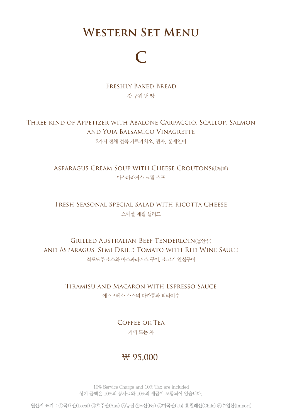## **Western Set Menu**

# **C**

Freshly Baked Bread 갓 구워 낸 빵

#### Three kind of Appetizer with Abalone Carpaccio, Scallop, Salmon and Yuja Balsamico Vinagrette 3가지 전채 전복 카르파치오, 관자, 훈제연어

ASPARAGUS CREAM SOUP WITH CHEESE CROUTONS(1)닭뼈) 아스파라거스 크림 스프

Fresh Seasonal Special Salad with ricotta Cheese 스페셜 계절 샐러드

Grilled Australian Beef Tenderloin(②안심) and Asparagus, Semi Dried Tomato with Red Wine Sauce 적포도주 소스와 아스파라거스 구이, 소고기 안심구이

> Tiramisu and Macaron with Espresso Sauce 에스프레소 소스의 마카롱과 티라미수

> > Coffee or Tea 커피 또는 차

### ₩ 95,000

10% Service Charge and 10% Tax are included 상기 금액은 10%의 봉사료와 10%의 세금이 포함되어 있습니다.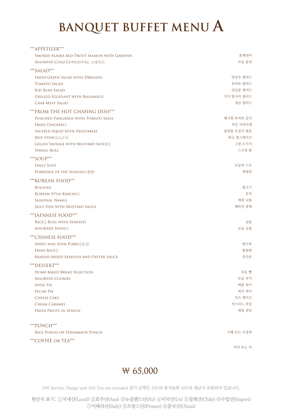# **BANQUET BUFFET MENU A**

| ***APPETIZER***                               |            |
|-----------------------------------------------|------------|
| SMOKED ALASKA RED TROUT SALMON WITH GARNISH   | 훈제연어       |
| ASSORTED COLD CUTS(살라미4), 소세지①)               | 모듬 콜컷      |
| *** SALAD***                                  |            |
| FRESH GREEN SALAD WITH DRESSING               | 양상추 샐러드    |
| <b>TOMATO SALAD</b>                           | 토마토 샐러드    |
| <b>KID BEAN SALAD</b>                         | 강낭콩 샐러드    |
| <b>GRILLED EGGPLANT WITH BALSAMICO</b>        | 가지 발사믹 샐러드 |
| <b>CRAB MEAT SALAD</b>                        | 게살 샐러드     |
| ***FROM THE HOT CHAFING DISH***               |            |
| POACHED PANGASIUS WITH TOMATO SALSA           | 매기찜 토마토 살사 |
| <b>FRIED CHICKEN</b> (1)                      | 치킨 가라아게    |
| SAUTÉED SQUID WITH VEGETABLES                 | 솔방울 오징어 볶음 |
| BEEF STEW(①소고기)                               | 와규 찹스테이크   |
| <b>GILLED SAUSAGE WITH MUSTARD SAUCE(I)</b>   | 그릴 소시지     |
| <b>SPRING ROLL</b>                            | 스프링 롤      |
|                                               |            |
| *** SOUP***                                   |            |
| <b>DAILY SOUP</b>                             | 오늘의 스프     |
| PORRIDGE OF THE SEASON(①참쌀)                   | 계절죽        |
| *** KOREAN FOOD***                            |            |
| <b>BULGOGI</b>                                | 불고기        |
| KOREAN STYLE KIMCHI(1)                        | 김치         |
| SEASONAL NAMUL                                | 계절 나물      |
| JELLY FISH WITH MUSTARD SAUCE                 | 해파리 냉채     |
| ***JAPANESE FOOD***                           |            |
| RICE(1) ROLL WITH SEAWEED                     | 김밥         |
| <b>ASSORTED SUSHI</b> (1)                     | 모듬 초밥      |
| ***CHINESE FOOD***                            |            |
| SWEET AND SOUR PORK(①등심)                      | 당수육        |
| <b>FRIED RICE(1)</b>                          | 볶음밥        |
| <b>BRAISED MIXED SEAFOOD AND OYSTER SAUCE</b> | 유산슬        |
| ***DESSERT***                                 |            |
| HOME BAKED BREAD SELECTION                    | 모듬 빵       |
| <b>ASSORTED COOKIES</b>                       | 모듬 쿠키      |
| <b>APPLE PIE</b>                              | 애플 파이      |
| PECAN PIE                                     | 피칸 파이      |
| <b>CHEESE CAKE</b>                            | 치즈 케이크     |
| <b>CREAM CARAMEL</b>                          | 커스터드 푸딩    |
| <b>FRESH FRUITS IN SEASON</b>                 | 계절 과일      |
|                                               |            |
| ***PUNCH***                                   |            |
| RICE PUNCH OR PERSIMMON PUNCH                 | 식혜 또는 수정과  |
|                                               |            |
| ***COFFEE OR TEA***                           |            |

커피 또는 차

### ₩ 65,000

10% Service Charge and 10% Tax are included 상기 금액은 10%의 봉사료와 10%의 세금이 포함되어 있습니다.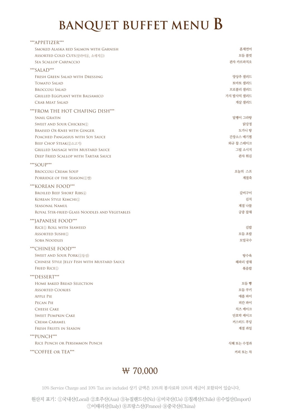# **BANQUET BUFFET MENU B**

| ***APPETIZER***                               |            |
|-----------------------------------------------|------------|
| SMOKED ALASKA RED SALMON WITH GARNISH         | 훈제연어       |
| ASSORTED COLD CUTS(살라미4), 소세지①)               | 모듬 콜컷      |
| SEA SCALLOP CARPACCIO                         | 관자 카르파치오   |
| *** $SALAD$ ***                               |            |
| FRESH GREEN SALAD WITH DRESSING               | 양상추 샐러드    |
| <b>TOMATO SALAD</b>                           | 토마토 샐러드    |
| <b>BROCCOLI SALAD</b>                         | 브로콜리 샐러드   |
| <b>GRILLED EGGPLANT WITH BALSAMICO</b>        | 가지 발사믹 샐러드 |
| <b>CRAB MEAT SALAD</b>                        | 게살 샐러드     |
| ***FROM THE HOT CHAFING DISH***               |            |
| <b>SNAIL GRATIN</b>                           | 달팽이 그라탕    |
| <b>SWEET AND SOUR CHICKEN</b> 1               | 닭강정        |
| <b>BRAISED OX-KNEE WITH GINGER</b>            | 도가니 탕      |
| POACHED PANGASIUS WITH SOY SAUCE              | 간장소스 매기찜   |
| BEEF CHOP STEAK(2소고기)                         | 와규 찹 스테이크  |
| <b>GRILLED SAUSAGE WITH MUSTARD SAUCE</b>     | 그릴 소시지     |
| DEEP FRIED SCALLOP WITH TARTAR SAUCE          | 관자 튀김      |
| *** $SOUP$ ***                                |            |
| <b>BROCCOLI CREAM SOUP</b>                    | 오늘의 스프     |
| PORRIDGE OF THE SEASON(①쌀)                    | 계절죽        |
| *** KOREAN FOOD***                            |            |
| <b>BROILED BEEF SHORT RIBS4</b>               | 갈비구이       |
| KOREAN STYLE KIMCHI(1)                        | 김치         |
| <b>SEASONAL NAMUL</b>                         | 계절 나물      |
| ROYAL STIR-FRIED GLASS NOODLES AND VEGETABLES | 궁중 잡채      |
| ***JAPANESE FOOD***                           |            |
| RICE <sup>(1)</sup> ROLL WITH SEAWEED         | 김밥         |
| <b>ASSORTED SUSHI</b> (1)                     | 모듬 초밥      |
| <b>SOBA NOODLES</b>                           | 모밀국수       |
| ***CHINESE FOOD***                            |            |
| SWEET AND SOUR PORK(①등심)                      | 탕수육        |
| CHINESE STYLE JELLY FISH WITH MUSTARD SAUCE   | 해파리 냉채     |
| <b>FRIED RICE</b> <sup>1</sup>                | 볶음밥        |
| ***DESSERT***                                 |            |
| <b>HOME BAKED BREAD SELECTION</b>             | 모듬 빵       |
| <b>ASSORTED COOKIES</b>                       | 모듬 쿠키      |
| <b>APPLE PIE</b>                              | 애플 파이      |
| <b>PECAN PIE</b>                              | 피칸 파이      |
| <b>CHEESE CAKE</b>                            | 치즈 케이크     |
| <b>SWEET PUMPKIN CAKE</b>                     | 단호박 케이크    |
| <b>CREAM CARAMEL</b>                          | 커스터드 푸딩    |
| <b>FRESH FRUITS IN SEASON</b>                 | 계절 과일      |
| *** PUNCH***                                  |            |
| RICE PUNCH OR PERSIMMON PUNCH                 | 식혜 또는 수정과  |
| *** COFFEE OR TEA***                          | 커피 또는 차    |

### ₩ 70,000

10% Service Charge and 10% Tax are included 상기 금액은 10%의 봉사료와 10%의 세금이 포함되어 있습니다.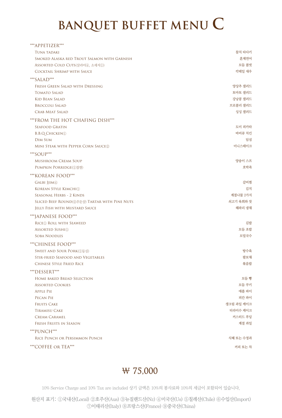# **BANQUET BUFFET MENU C**

| ***APPETIZER***                               |            |
|-----------------------------------------------|------------|
| <b>TUNA TADAKI</b>                            | 참치 타다키     |
| SMOKED ALASKA RED TROUT SALMON WITH GARNISH   | 훈제연어       |
| ASSORTED COLD CUTS(살라미4), 소세지①)               | 모듬 콜컷      |
| <b>COCKTAIL SHRIMP WITH SAUCE</b>             | 칵테일 새우     |
| *** SALAD***                                  |            |
| FRESH GREEN SALAD WITH DRESSING               | 양상추 샐러드    |
| <b>TOMATO SALAD</b>                           | 토마토 샐러드    |
| <b>KID BEAN SALAD</b>                         | 강낭콩 샐러드    |
| <b>BROCCOLI SALAD</b>                         | 브로콜리 샐러드   |
| CRAB MEAT SALAD                               | 싱싱 샐러드     |
| ***FROM THE HOT CHAFING DISH***               |            |
| <b>SEAFOOD GRATIN</b>                         | 도미 피카타     |
| <b>B.B.Q.CHICKEN</b> <sup>1</sup>             | 바비큐 치킨     |
| <b>DIM SUM</b>                                | 딤섬         |
| MINI STEAK WITH PEPPER CORN SAUCE2            | 미니스테이크     |
| ***SOUP***                                    |            |
| <b>MUSHROOM CREAM SOUP</b>                    | 양송이 스프     |
| PUMPKIN PORRIDGE(①찹쌀)                         | 호박죽        |
| *** KOREAN FOOD***                            |            |
| GALBI JJIM4                                   | 갈비찜        |
| KOREAN STYLE KIMCHI(1)                        | 김치         |
| SEASONAL HERBS - 2 KINDS                      | 계절나물 2가지   |
| SLICED BEEF ROUND(2우둔살) TARTAR WITH PINE NUTS | 쇠고기 육회와 잣  |
| JELLY FISH WITH MUSTARD SAUCE                 | 해파리 냉채     |
| ***JAPANESE FOOD***                           |            |
| RICE <sup>(1)</sup> ROLL WITH SEAWEED         | 김밥         |
| <b>ASSORTED SUSHI</b> (1)                     | 모듬 초밥      |
| <b>SOBA NOODLES</b>                           | 모밀국수       |
| ***CHINESE FOOD***                            |            |
| SWEET AND SOUR PORK(①등심)                      | 탕수육        |
| STIR-FRIED SEAFOOD AND VEGETABLES             | 팔보채        |
| <b>CHINESE STYLE FRIED RICE</b>               | 볶음밥        |
| ***DESSERT***                                 |            |
| <b>HOME BAKED BREAD SELECTION</b>             | 모듬 빵       |
| <b>ASSORTED COOKIES</b>                       | 모듬 쿠키      |
| <b>APPLE PIE</b>                              | 애플 파이      |
| PECAN PIE                                     | 피칸 파이      |
| <b>FRUITS CAKE</b>                            | 생크림 과일 케이크 |
| <b>TIRAMISU CAKE</b>                          | 티라미수 케이크   |
| <b>CREAM CARAMEL</b>                          | 커스터드 푸딩    |
| FRESH FRUITS IN SEASON                        | 계절 과일      |
| ***PUNCH***                                   |            |
| RICE PUNCH OR PERSIMMON PUNCH                 | 식혜 또는 수정과  |
| ***COFFEE OR TEA***                           | 커피 또는 차    |
|                                               |            |

### ₩ 75,000

10% Service Charge and 10% Tax are included 상기 금액은 10%의 봉사료와 10%의 세금이 포함되어 있습니다.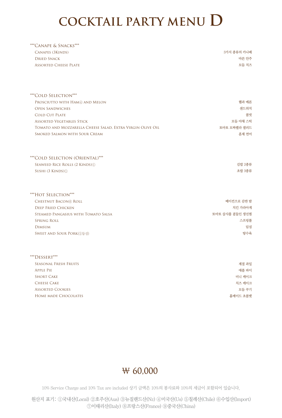# **COCKTAIL PARTY MENU D**

| ***Canape & Snacks***        |             |
|------------------------------|-------------|
| CANAPES (3KINDS)             | 3가지 종류의 카나페 |
| Dried Snack                  | 마른 안주       |
| <b>ASSORTED CHEESE PLATE</b> | 모듬 치즈       |
|                              |             |

| *** COLD SELECTION***                                      |                 |
|------------------------------------------------------------|-----------------|
| PROSCIUTTO WITH HAM 4) AND MELON                           | 햄과 메론           |
| <b>OPEN SANDWICHES</b>                                     | 샌드위치            |
| <b>COLD CUT PLATE</b>                                      | 콜컷              |
| <b>ASSORTED VEGETABLES STICK</b>                           | 모듬 야채 스틱        |
| TOMATO AND MOZZARELLA CHEESE SALAD, EXTRA VIRGIN OLIVE OIL | 토마토 모짜렐라 샐러드    |
| SMOKED SALMON WITH SOUR CREAM                              | 훈제 연어           |
| *** COLD SELECTION (ORIENTAL)***                           |                 |
| SEAWEED RICE ROLLS (2 KINDS)(1)                            | 김밥 2종류          |
| SUSHI (3 KINDS) 1                                          | 초밥 3종류          |
| *** HOT SELECTION***                                       |                 |
| <b>CHESTNUT BACON® ROLL</b>                                | 베이컨으로 감싼 밤      |
| <b>DEEP FRIED CHICKEN</b>                                  | 치킨 가라아게         |
| STEAMED PANGASIUS WITH TOMATO SALSA                        | 토마토 살사를 곁들인 생선찜 |
| <b>SPRING ROLL</b>                                         | 스프링롤            |
| <b>DIMSUM</b>                                              | 딤섬              |
| SWEET AND SOUR PORK(①등심)                                   | 탕수육             |
| ***DESSERT***                                              |                 |
| <b>SEASONAL FRESH FRUITS</b>                               | 계절 과일           |
| <b>APPLE PIE</b>                                           | 애플 파이           |
| <b>SHORT CAKE</b>                                          | 미니 케이크          |
| <b>CHEESE CAKE</b>                                         | 치즈 케이크          |
| <b>ASSORTED COOKIES</b>                                    | 모듬 쿠기           |

Home made Chocolates



홈메이드 초콜렛

10% Service Charge and 10% Tax are included 상기 금액은 10%의 봉사료와 10%의 세금이 포함되어 있습니다.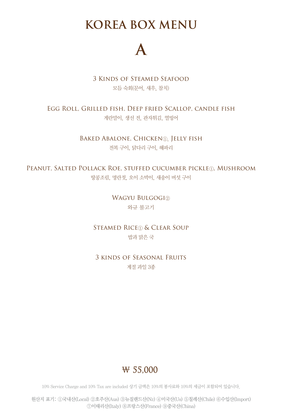## **KOREA BOX MENU**



3 Kinds of Steamed Seafood 모듬 숙회(문어, 새우, 참치)

Egg Roll, Grilled fish, Deep fried Scallop, candle fish 게란말이, 생선 전, 관자튀김, 열빙어

> BAKED ABALONE, CHICKEN<sup>(1)</sup>, JELLY FISH 전복 구이, 닭다리 구이, 해파리

PEANUT, SALTED POLLACK ROE, STUFFED CUCUMBER PICKLE<sub>1</sub>, MUSHROOM 땅콩조림, 명란젓, 오이 소박이, 새송이 버섯 구이

> WAGYU BULGOGI2 와규 불고기

STEAMED RICE<sub>1</sub> & CLEAR SOUP 밥과 맑은 국

3 kinds of Seasonal Fruits 계절 과일 3종



10% Service Charge and 10% Tax are included 상기 금액은 10%의 봉사료와 10%의 세금이 포함되어 있습니다.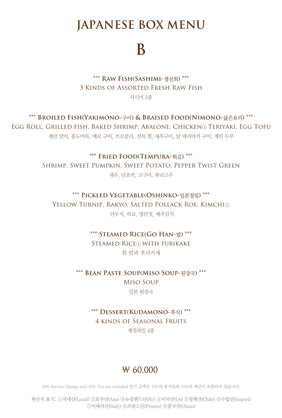## **JAPANESE BOX MENU**

# **B**

**\*\*\* Raw Fish(Sashimi-**생선회**) \*\*\*** 3 Kinds of Assorted Fresh Raw Fish 사시미 3종

**\*\*\* Broiled Fish(Yakimono-**구이**) & Braised Food(Nimono-**삶은요리**) \*\*\*** Egg Roll, Grilled fish, Baked Shrimp, Abalone, Chicken① Teriyaki, Egg Tofu

계란 말이, 홍도어묵, 메로 구이, 브로콜리, 전복 찜, 새우구이, 닭 데리야끼 구이, 계란 두부

**\*\*\* Fried Food(Tempura-**튀김**) \*\*\*** Shrimp, Sweet Pumpkin, Sweet Potato, Pepper Twist Green 새우, 단호박, 고구마, 꽈리고추

#### **\*\*\* Pickled Vegetable(Oshinko-**일본절임**) \*\*\***

YELLOW TURNIP, RAKYO, SALTED POLLACK ROE, KIMCHI① 단무지, 락교, 명란젓, 배추김치

> **\*\*\* Steamed Rice(Go Han-**밥**) \*\*\*** STEAMED RICE① WITH FURIKAKE 흰 밥과 후리카케

**\*\*\* Bean Paste Soup(Miso Soup-**된장국**) \*\*\*** Miso Soup 일본 된장국

> **\*\*\* Dessert(Kudamono-**후식**) \*\*\*** 4 kinds of Seasonal Fruits 계절과일 4종

### ₩ 60,000

10% Service Charge and 10% Tax are included 상기 금액은 10%의 봉사료와 10%의 세금이 포함되어 있습니다.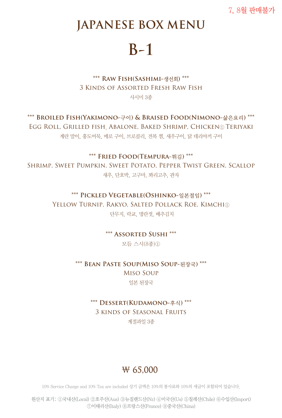7, 8월 판매불가

## **JAPANESE BOX MENU**

# **B-1**

**\*\*\* Raw Fish(Sashimi-**생선회**) \*\*\*** 3 Kinds of Assorted Fresh Raw Fish 사시미 3종

**\*\*\* Broiled Fish(Yakimono-**구이**) & Braised Food(Nimono-**삶은요리**) \*\*\*** Egg Roll, Grilled fish, Abalone, Baked Shrimp, Chicken① Teriyaki 계란 말이, 홍도어묵, 메로 구이, 브로콜리, 전복 찜, 새우구이, 닭 데리야끼 구이

**\*\*\* Fried Food(Tempura-**튀김**) \*\*\***

Shrimp, Sweet Pumpkin, Sweet Potato, Pepper Twist Green, Scallop 새우, 단호박, 고구마, 꽈리고추, 관자

#### **\*\*\* Pickled Vegetable(Oshinko-**일본절임**) \*\*\***

YELLOW TURNIP, RAKYO, SALTED POLLACK ROE, KIMCHI① 단무지, 락교, 명란젓, 배추김치

**\*\*\* Assorted Sushi \*\*\***

모듬 스시(8종)①

**\*\*\* Bean Paste Soup(Miso Soup-**된장국**) \*\*\*** Miso Soup 일본 된장국

#### **\*\*\* Dessert(Kudamono-**후식**) \*\*\***

3 kinds of Seasonal Fruits

계절과일 3종

### ₩ 65,000

10% Service Charge and 10% Tax are included 상기 금액은 10%의 봉사료와 10%의 세금이 포함되어 있습니다.